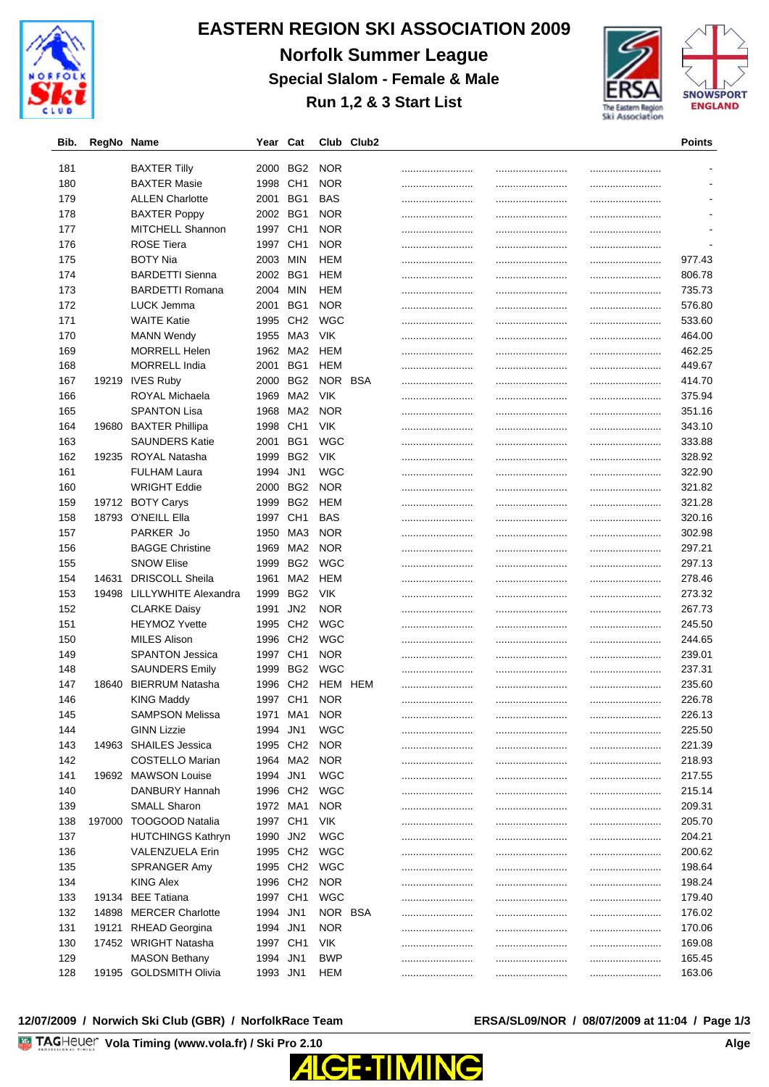

# **EASTERN REGION SKI ASSOCIATION 2009 Norfolk Summer League Special Slalom - Female & Male Run 1,2 & 3 Start List**





| Bib. | RegNo Name |                          | Year     | Cat             |            | Club Club2 |      | Points             |
|------|------------|--------------------------|----------|-----------------|------------|------------|------|--------------------|
|      |            |                          |          |                 |            |            |      |                    |
| 181  |            | <b>BAXTER Tilly</b>      | 2000     | BG2             | <b>NOR</b> |            | <br> |                    |
| 180  |            | <b>BAXTER Masie</b>      | 1998     | CH <sub>1</sub> | <b>NOR</b> |            | <br> |                    |
| 179  |            | <b>ALLEN Charlotte</b>   | 2001     | BG1             | BAS        |            | <br> |                    |
| 178  |            | <b>BAXTER Poppy</b>      | 2002     | BG1             | <b>NOR</b> |            |      |                    |
| 177  |            | MITCHELL Shannon         | 1997 CH1 |                 | <b>NOR</b> |            | <br> | <br>$\blacksquare$ |
| 176  |            | <b>ROSE Tiera</b>        | 1997     | CH <sub>1</sub> | <b>NOR</b> |            | <br> |                    |
| 175  |            | <b>BOTY Nia</b>          | 2003     | MIN             | HEM        |            | <br> | <br>977.43         |
| 174  |            | <b>BARDETTI Sienna</b>   | 2002     | BG1             | HEM        |            | <br> | <br>806.78         |
| 173  |            | <b>BARDETTI Romana</b>   | 2004     | MIN             | HEM        |            | <br> | <br>735.73         |
| 172  |            | LUCK Jemma               | 2001     | BG1             | <b>NOR</b> |            | <br> | <br>576.80         |
| 171  |            | <b>WAITE Katie</b>       | 1995     | CH <sub>2</sub> | <b>WGC</b> |            | <br> | <br>533.60         |
| 170  |            | <b>MANN Wendy</b>        | 1955     | MA3             | <b>VIK</b> |            | <br> | 464.00             |
| 169  |            | <b>MORRELL Helen</b>     | 1962     | MA2             | HEM        |            | <br> | 462.25             |
| 168  |            | <b>MORRELL India</b>     | 2001     | BG1             | HEM        |            | <br> | 449.67             |
| 167  |            | 19219 IVES Ruby          | 2000     | BG2             | NOR BSA    |            | <br> | <br>414.70         |
| 166  |            | ROYAL Michaela           | 1969     | MA2             | <b>VIK</b> |            | <br> | 375.94             |
| 165  |            | <b>SPANTON Lisa</b>      | 1968     | MA2             | <b>NOR</b> |            |      | 351.16             |
| 164  |            | 19680 BAXTER Phillipa    | 1998     | CH <sub>1</sub> | <b>VIK</b> |            | <br> | 343.10             |
| 163  |            | <b>SAUNDERS Katie</b>    | 2001     | BG1             | <b>WGC</b> |            | <br> | <br>333.88         |
| 162  |            | 19235 ROYAL Natasha      | 1999     | BG <sub>2</sub> | <b>VIK</b> |            | <br> | 328.92             |
| 161  |            | <b>FULHAM Laura</b>      | 1994     | JN1             | WGC        |            |      | <br>322.90         |
| 160  |            | <b>WRIGHT Eddie</b>      | 2000     | BG <sub>2</sub> | <b>NOR</b> |            | <br> | <br>321.82         |
| 159  |            | 19712 BOTY Carys         | 1999     | BG2             | HEM        |            | <br> | <br>321.28         |
| 158  |            | 18793 O'NEILL Ella       | 1997 CH1 |                 | BAS        |            | <br> | 320.16             |
| 157  |            | PARKER Jo                | 1950     | MA3             | <b>NOR</b> |            | <br> | 302.98             |
| 156  |            | <b>BAGGE Christine</b>   | 1969     | MA <sub>2</sub> | <b>NOR</b> |            | <br> | 297.21             |
| 155  |            | <b>SNOW Elise</b>        | 1999     | BG2             | WGC        |            | <br> | <br>297.13         |
| 154  | 14631      | <b>DRISCOLL Sheila</b>   | 1961     | MA2             | HEM        |            | <br> | <br>278.46         |
| 153  | 19498      | LILLYWHITE Alexandra     | 1999     | BG2             | <b>VIK</b> |            | <br> | <br>273.32         |
| 152  |            | <b>CLARKE Daisy</b>      | 1991     | JN <sub>2</sub> | <b>NOR</b> |            | <br> | <br>267.73         |
| 151  |            | <b>HEYMOZ Yvette</b>     | 1995     | CH <sub>2</sub> | <b>WGC</b> |            | <br> | <br>245.50         |
| 150  |            | <b>MILES Alison</b>      | 1996     | CH <sub>2</sub> | <b>WGC</b> |            | <br> | 244.65             |
| 149  |            | <b>SPANTON Jessica</b>   | 1997     | CH <sub>1</sub> | <b>NOR</b> |            | <br> | 239.01             |
| 148  |            | <b>SAUNDERS Emily</b>    | 1999     | BG2             | WGC        |            | <br> | <br>237.31         |
| 147  | 18640      | <b>BIERRUM Natasha</b>   | 1996     | CH <sub>2</sub> | HEM HEM    |            | <br> | <br>235.60         |
| 146  |            | <b>KING Maddy</b>        | 1997 CH1 |                 | <b>NOR</b> |            | <br> | <br>226.78         |
| 145  |            | <b>SAMPSON Melissa</b>   | 1971     | MA1             | <b>NOR</b> |            |      | 226.13             |
| 144  |            | <b>GINN Lizzie</b>       | 1994 JN1 |                 | <b>WGC</b> |            |      | 225.50             |
| 143  |            | 14963 SHAILES Jessica    | 1995     | CH <sub>2</sub> | <b>NOR</b> |            |      | <br>221.39         |
| 142  |            | <b>COSTELLO Marian</b>   | 1964     | MA2             | <b>NOR</b> |            | <br> | <br>218.93         |
| 141  |            | 19692 MAWSON Louise      | 1994     | JN1             | <b>WGC</b> |            |      | 217.55             |
| 140  |            | DANBURY Hannah           | 1996 CH2 |                 | <b>WGC</b> |            |      | <br>215.14         |
| 139  |            | SMALL Sharon             | 1972 MA1 |                 | <b>NOR</b> |            | <br> | <br>209.31         |
| 138  |            | 197000 TOOGOOD Natalia   | 1997 CH1 |                 | VIK        |            | <br> | 205.70             |
| 137  |            | <b>HUTCHINGS Kathryn</b> | 1990     | JN <sub>2</sub> | <b>WGC</b> |            | <br> | <br>204.21         |
|      |            |                          | 1995 CH2 |                 |            |            |      |                    |
| 136  |            | VALENZUELA Erin          | 1995 CH2 |                 | <b>WGC</b> |            | <br> | 200.62             |
| 135  |            | SPRANGER Amy             |          |                 | <b>WGC</b> |            |      | 198.64             |
| 134  |            | <b>KING Alex</b>         | 1996 CH2 |                 | <b>NOR</b> |            | <br> | 198.24             |
| 133  |            | 19134 BEE Tatiana        | 1997 CH1 |                 | <b>WGC</b> |            | <br> | <br>179.40         |
| 132  |            | 14898 MERCER Charlotte   | 1994     | JN1             | NOR BSA    |            | <br> | 176.02             |
| 131  | 19121      | <b>RHEAD Georgina</b>    | 1994 JN1 |                 | <b>NOR</b> |            |      | 170.06             |
| 130  |            | 17452 WRIGHT Natasha     | 1997 CH1 |                 | <b>VIK</b> |            | <br> | 169.08             |
| 129  |            | <b>MASON Bethany</b>     | 1994     | JN1             | <b>BWP</b> |            | <br> | <br>165.45         |
| 128  |            | 19195 GOLDSMITH Olivia   | 1993 JN1 |                 | HEM        |            | <br> | <br>163.06         |

### **12/07/2009 / Norwich Ski Club (GBR) / NorfolkRace Team ERSA/SL09/NOR / 08/07/2009 at 11:04 / Page 1/3**

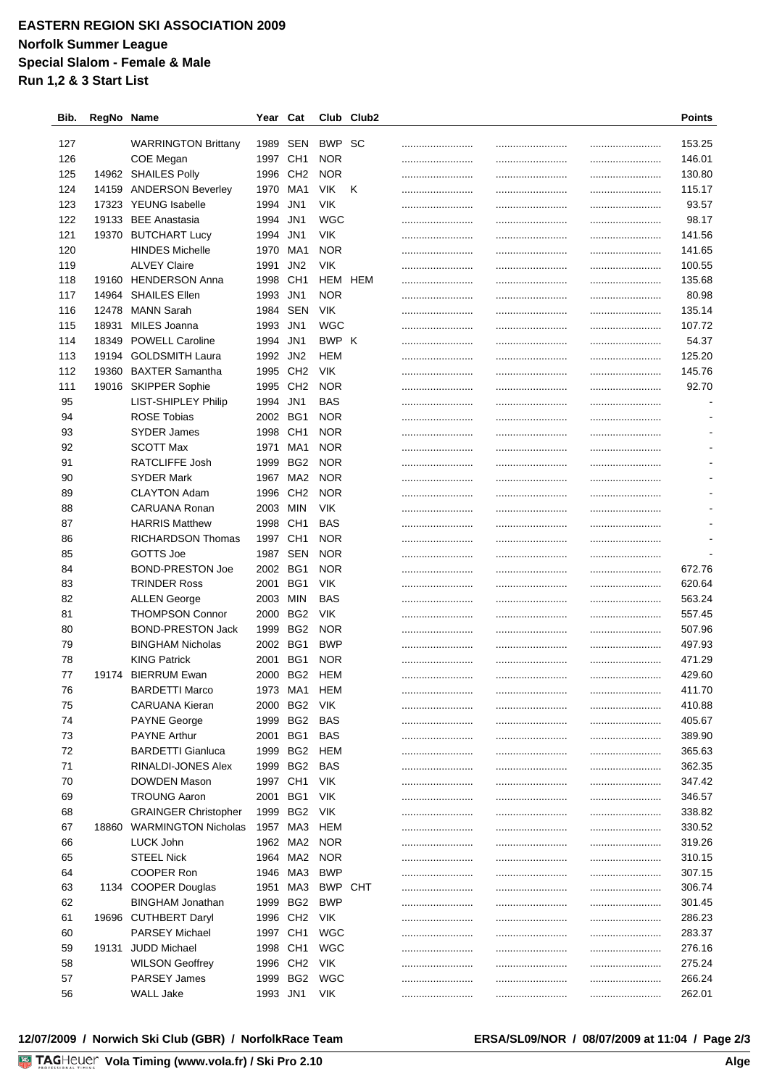## **EASTERN REGION SKI ASSOCIATION 2009 Norfolk Summer League Special Slalom - Female & Male Run 1,2 & 3 Start List**

| Bib. | RegNo Name |                             | Year Cat |                 |            | Club Club2 |          | <b>Points</b>                    |
|------|------------|-----------------------------|----------|-----------------|------------|------------|----------|----------------------------------|
| 127  |            | <b>WARRINGTON Brittany</b>  | 1989     | SEN             | BWP        | SС         |          | <br>153.25                       |
| 126  |            | COE Megan                   | 1997     | CH <sub>1</sub> | <b>NOR</b> |            | <br>     | <br>146.01                       |
| 125  |            | 14962 SHAILES Polly         | 1996     | CH <sub>2</sub> | <b>NOR</b> |            |          | <br>130.80                       |
| 124  |            | 14159 ANDERSON Beverley     | 1970     | MA1             | VIK.       | Κ          | <br>     | <br>115.17                       |
| 123  |            | 17323 YEUNG Isabelle        | 1994     | JN1             | <b>VIK</b> |            |          | <br>93.57                        |
| 122  |            | 19133 BEE Anastasia         | 1994     | JN1             | WGC        |            | <br>     | <br>98.17                        |
| 121  | 19370      | <b>BUTCHART Lucy</b>        | 1994     | JN1             | <b>VIK</b> |            |          | <br>141.56                       |
| 120  |            | <b>HINDES Michelle</b>      | 1970     | MA1             | <b>NOR</b> |            |          | <br>141.65                       |
| 119  |            | <b>ALVEY Claire</b>         | 1991     | JN <sub>2</sub> | <b>VIK</b> |            |          | <br>100.55                       |
| 118  | 19160      | <b>HENDERSON Anna</b>       | 1998     | CH <sub>1</sub> | HEM        | HEM        | <br>     | <br>135.68                       |
| 117  | 14964      | <b>SHAILES Ellen</b>        | 1993     | JN1             | <b>NOR</b> |            |          | <br>80.98                        |
| 116  | 12478      | MANN Sarah                  | 1984     | <b>SEN</b>      | <b>VIK</b> |            |          | <br>135.14                       |
| 115  | 18931      | MILES Joanna                | 1993     | JN1             | WGC        |            | <br><br> | <br>107.72                       |
| 114  |            | 18349 POWELL Caroline       | 1994     | JN1             | BWP K      |            | <br>     | <br>54.37                        |
| 113  | 19194      | <b>GOLDSMITH Laura</b>      | 1992 JN2 |                 | HEM        |            |          | 125.20                           |
| 112  |            | 19360 BAXTER Samantha       | 1995     | CH <sub>2</sub> | <b>VIK</b> |            | <br>     | <br>145.76                       |
| 111  |            | 19016 SKIPPER Sophie        | 1995     | CH <sub>2</sub> | <b>NOR</b> |            | <br>     | <br>92.70                        |
| 95   |            | LIST-SHIPLEY Philip         |          |                 |            |            |          |                                  |
|      |            |                             | 1994     | JN1             | BAS        |            |          |                                  |
| 94   |            | <b>ROSE Tobias</b>          | 2002     | BG1             | <b>NOR</b> |            | <br>     |                                  |
| 93   |            | <b>SYDER James</b>          | 1998     | CH <sub>1</sub> | <b>NOR</b> |            | <br>     |                                  |
| 92   |            | <b>SCOTT Max</b>            | 1971     | MA1             | <b>NOR</b> |            | <br>     | <br>$\blacksquare$               |
| 91   |            | <b>RATCLIFFE Josh</b>       | 1999     | BG <sub>2</sub> | <b>NOR</b> |            |          | <br>$\overline{\phantom{a}}$     |
| 90   |            | <b>SYDER Mark</b>           | 1967     | MA2             | <b>NOR</b> |            | <br>     | <br>$\overline{\phantom{a}}$     |
| 89   |            | <b>CLAYTON Adam</b>         | 1996     | CH <sub>2</sub> | <b>NOR</b> |            |          | <br>$\overline{\phantom{a}}$     |
| 88   |            | CARUANA Ronan               | 2003     | MIN             | <b>VIK</b> |            | <br>     | <br>$\overline{\phantom{a}}$     |
| 87   |            | <b>HARRIS Matthew</b>       | 1998     | CH <sub>1</sub> | <b>BAS</b> |            | <br>     | <br>$\qquad \qquad \blacksquare$ |
| 86   |            | <b>RICHARDSON Thomas</b>    | 1997     | CH <sub>1</sub> | <b>NOR</b> |            | <br>     | <br>$\blacksquare$               |
| 85   |            | GOTTS Joe                   | 1987     | SEN             | <b>NOR</b> |            | <br>     |                                  |
| 84   |            | <b>BOND-PRESTON Joe</b>     | 2002     | BG1             | <b>NOR</b> |            | <br>     | <br>672.76                       |
| 83   |            | <b>TRINDER Ross</b>         | 2001     | BG1             | <b>VIK</b> |            | <br>     | <br>620.64                       |
| 82   |            | <b>ALLEN George</b>         | 2003     | MIN             | <b>BAS</b> |            | <br>     | <br>563.24                       |
| 81   |            | <b>THOMPSON Connor</b>      | 2000     | BG2             | <b>VIK</b> |            | <br>     | <br>557.45                       |
| 80   |            | <b>BOND-PRESTON Jack</b>    | 1999     | BG <sub>2</sub> | <b>NOR</b> |            |          | <br>507.96                       |
| 79   |            | <b>BINGHAM Nicholas</b>     | 2002     | BG1             | <b>BWP</b> |            |          | 497.93                           |
| 78   |            | <b>KING Patrick</b>         | 2001     | BG1             | <b>NOR</b> |            | <br>     | <br>471.29                       |
| 77   |            | 19174 BIERRUM Ewan          |          | 2000 BG2 HEM    |            |            | <br>     | <br>429.60                       |
| 76   |            | <b>BARDETTI Marco</b>       | 1973     | MA1             | <b>HEM</b> |            |          | 411.70                           |
| 75   |            | CARUANA Kieran              |          | 2000 BG2        | VIK        |            | <br>     | <br>410.88                       |
| 74   |            | <b>PAYNE George</b>         | 1999 BG2 |                 | <b>BAS</b> |            | <br>     | <br>405.67                       |
| 73   |            | <b>PAYNE Arthur</b>         | 2001 BG1 |                 | BAS        |            | <br>     | <br>389.90                       |
| 72   |            | <b>BARDETTI Gianluca</b>    |          | 1999 BG2 HEM    |            |            | <br>     | <br>365.63                       |
| 71   |            | RINALDI-JONES Alex          |          | 1999 BG2        | BAS        |            | <br>     | <br>362.35                       |
| 70   |            | DOWDEN Mason                | 1997 CH1 |                 | VIK        |            | <br>     | <br>347.42                       |
| 69   |            | <b>TROUNG Aaron</b>         | 2001     | BG1             | <b>VIK</b> |            | <br>     | <br>346.57                       |
| 68   |            | <b>GRAINGER Christopher</b> | 1999     | BG2             | <b>VIK</b> |            | <br>     | <br>338.82                       |
| 67   |            | 18860 WARMINGTON Nicholas   | 1957     | MA3             | HEM        |            | <br>     | <br>330.52                       |
| 66   |            | LUCK John                   | 1962     | MA2             | <b>NOR</b> |            | <br>     | <br>319.26                       |
| 65   |            | <b>STEEL Nick</b>           | 1964 MA2 |                 | <b>NOR</b> |            | <br>     | <br>310.15                       |
| 64   |            | COOPER Ron                  | 1946     | MA3             | <b>BWP</b> |            | <br>     | <br>307.15                       |
| 63   |            | 1134 COOPER Douglas         | 1951     | MA3             | BWP        | CHT        | <br>     | <br>306.74                       |
| 62   |            | <b>BINGHAM Jonathan</b>     | 1999     | BG <sub>2</sub> | <b>BWP</b> |            | <br>     | <br>301.45                       |
| 61   |            | 19696 CUTHBERT Daryl        | 1996     | CH <sub>2</sub> | <b>VIK</b> |            | <br>     | <br>286.23                       |
| 60   |            | <b>PARSEY Michael</b>       | 1997     | CH <sub>1</sub> | WGC        |            | <br>     | <br>283.37                       |
| 59   |            | 19131 JUDD Michael          | 1998     | CH <sub>1</sub> | <b>WGC</b> |            |          | <br>276.16                       |
| 58   |            | <b>WILSON Geoffrey</b>      | 1996 CH2 |                 | <b>VIK</b> |            | <br>     | <br>275.24                       |
| 57   |            | <b>PARSEY James</b>         | 1999     | BG <sub>2</sub> | WGC        |            |          | <br>266.24                       |
| 56   |            | <b>WALL Jake</b>            | 1993 JN1 |                 | <b>VIK</b> |            | <br>     | <br>262.01                       |